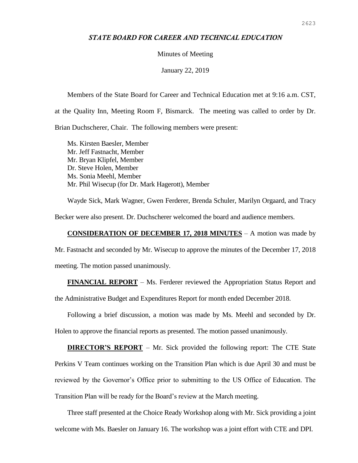## *STATE BOARD FOR CAREER AND TECHNICAL EDUCATION*

## Minutes of Meeting

January 22, 2019

Members of the State Board for Career and Technical Education met at 9:16 a.m. CST, at the Quality Inn, Meeting Room F, Bismarck. The meeting was called to order by Dr. Brian Duchscherer, Chair. The following members were present:

Ms. Kirsten Baesler, Member Mr. Jeff Fastnacht, Member Mr. Bryan Klipfel, Member Dr. Steve Holen, Member Ms. Sonia Meehl, Member Mr. Phil Wisecup (for Dr. Mark Hagerott), Member

Wayde Sick, Mark Wagner, Gwen Ferderer, Brenda Schuler, Marilyn Orgaard, and Tracy Becker were also present. Dr. Duchscherer welcomed the board and audience members.

## **CONSIDERATION OF DECEMBER 17, 2018 MINUTES** – A motion was made by

Mr. Fastnacht and seconded by Mr. Wisecup to approve the minutes of the December 17, 2018 meeting. The motion passed unanimously.

**FINANCIAL REPORT** – Ms. Ferderer reviewed the Appropriation Status Report and the Administrative Budget and Expenditures Report for month ended December 2018.

Following a brief discussion, a motion was made by Ms. Meehl and seconded by Dr. Holen to approve the financial reports as presented. The motion passed unanimously.

**DIRECTOR'S REPORT** – Mr. Sick provided the following report: The CTE State Perkins V Team continues working on the Transition Plan which is due April 30 and must be reviewed by the Governor's Office prior to submitting to the US Office of Education. The Transition Plan will be ready for the Board's review at the March meeting.

Three staff presented at the Choice Ready Workshop along with Mr. Sick providing a joint welcome with Ms. Baesler on January 16. The workshop was a joint effort with CTE and DPI.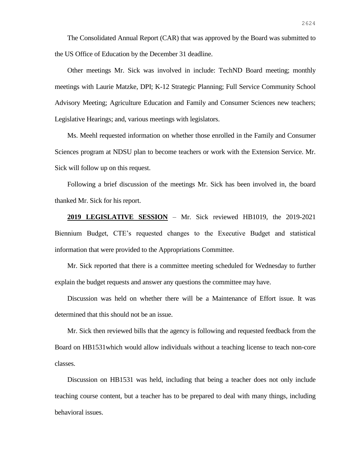The Consolidated Annual Report (CAR) that was approved by the Board was submitted to the US Office of Education by the December 31 deadline.

Other meetings Mr. Sick was involved in include: TechND Board meeting; monthly meetings with Laurie Matzke, DPI; K-12 Strategic Planning; Full Service Community School Advisory Meeting; Agriculture Education and Family and Consumer Sciences new teachers; Legislative Hearings; and, various meetings with legislators.

Ms. Meehl requested information on whether those enrolled in the Family and Consumer Sciences program at NDSU plan to become teachers or work with the Extension Service. Mr. Sick will follow up on this request.

Following a brief discussion of the meetings Mr. Sick has been involved in, the board thanked Mr. Sick for his report.

**2019 LEGISLATIVE SESSION** – Mr. Sick reviewed HB1019, the 2019-2021 Biennium Budget, CTE's requested changes to the Executive Budget and statistical information that were provided to the Appropriations Committee.

Mr. Sick reported that there is a committee meeting scheduled for Wednesday to further explain the budget requests and answer any questions the committee may have.

Discussion was held on whether there will be a Maintenance of Effort issue. It was determined that this should not be an issue.

Mr. Sick then reviewed bills that the agency is following and requested feedback from the Board on HB1531which would allow individuals without a teaching license to teach non-core classes.

Discussion on HB1531 was held, including that being a teacher does not only include teaching course content, but a teacher has to be prepared to deal with many things, including behavioral issues.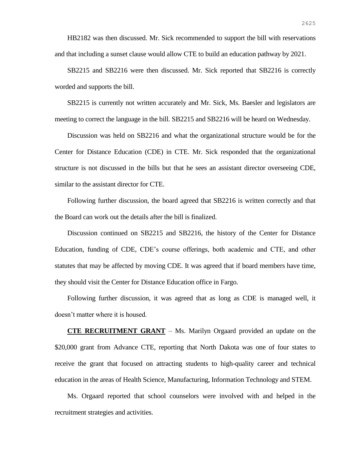HB2182 was then discussed. Mr. Sick recommended to support the bill with reservations and that including a sunset clause would allow CTE to build an education pathway by 2021.

SB2215 and SB2216 were then discussed. Mr. Sick reported that SB2216 is correctly worded and supports the bill.

SB2215 is currently not written accurately and Mr. Sick, Ms. Baesler and legislators are meeting to correct the language in the bill. SB2215 and SB2216 will be heard on Wednesday.

Discussion was held on SB2216 and what the organizational structure would be for the Center for Distance Education (CDE) in CTE. Mr. Sick responded that the organizational structure is not discussed in the bills but that he sees an assistant director overseeing CDE, similar to the assistant director for CTE.

Following further discussion, the board agreed that SB2216 is written correctly and that the Board can work out the details after the bill is finalized.

Discussion continued on SB2215 and SB2216, the history of the Center for Distance Education, funding of CDE, CDE's course offerings, both academic and CTE, and other statutes that may be affected by moving CDE. It was agreed that if board members have time, they should visit the Center for Distance Education office in Fargo.

Following further discussion, it was agreed that as long as CDE is managed well, it doesn't matter where it is housed.

**CTE RECRUITMENT GRANT** – Ms. Marilyn Orgaard provided an update on the \$20,000 grant from Advance CTE, reporting that North Dakota was one of four states to receive the grant that focused on attracting students to high-quality career and technical education in the areas of Health Science, Manufacturing, Information Technology and STEM.

Ms. Orgaard reported that school counselors were involved with and helped in the recruitment strategies and activities.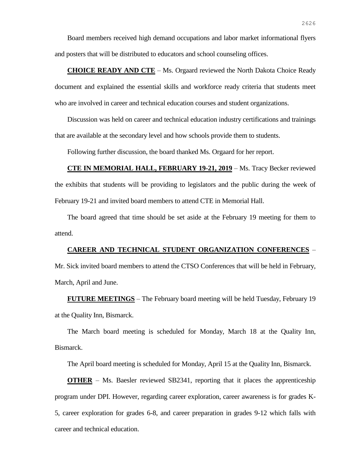Board members received high demand occupations and labor market informational flyers and posters that will be distributed to educators and school counseling offices.

**CHOICE READY AND CTE** – Ms. Orgaard reviewed the North Dakota Choice Ready document and explained the essential skills and workforce ready criteria that students meet who are involved in career and technical education courses and student organizations.

Discussion was held on career and technical education industry certifications and trainings that are available at the secondary level and how schools provide them to students.

Following further discussion, the board thanked Ms. Orgaard for her report.

**CTE IN MEMORIAL HALL, FEBRUARY 19-21, 2019** – Ms. Tracy Becker reviewed the exhibits that students will be providing to legislators and the public during the week of February 19-21 and invited board members to attend CTE in Memorial Hall.

The board agreed that time should be set aside at the February 19 meeting for them to attend.

## **CAREER AND TECHNICAL STUDENT ORGANIZATION CONFERENCES** –

Mr. Sick invited board members to attend the CTSO Conferences that will be held in February, March, April and June.

**FUTURE MEETINGS** – The February board meeting will be held Tuesday, February 19 at the Quality Inn, Bismarck.

The March board meeting is scheduled for Monday, March 18 at the Quality Inn, Bismarck.

The April board meeting is scheduled for Monday, April 15 at the Quality Inn, Bismarck.

**OTHER** – Ms. Baesler reviewed SB2341, reporting that it places the apprenticeship program under DPI. However, regarding career exploration, career awareness is for grades K-5, career exploration for grades 6-8, and career preparation in grades 9-12 which falls with career and technical education.